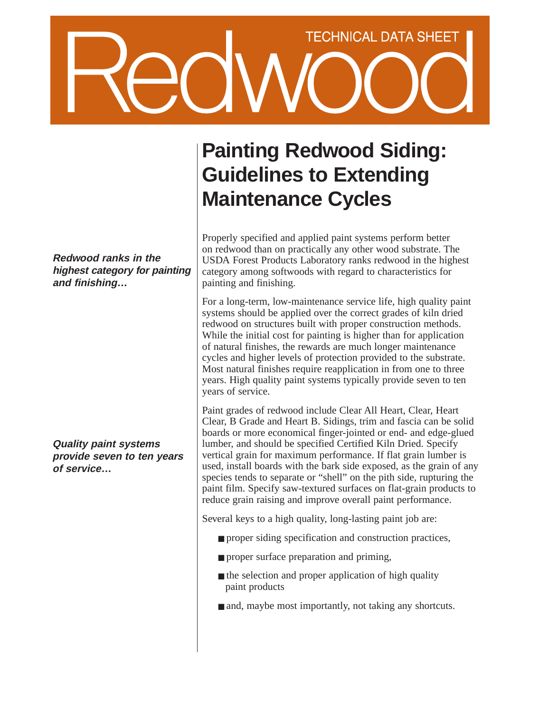# TECHNICAL DATA SHEET

**Redwood ranks in the highest category for painting and finishing…**

**Quality paint systems provide seven to ten years of service…**

# **Painting Redwood Siding: Guidelines to Extending Maintenance Cycles**

Properly specified and applied paint systems perform better on redwood than on practically any other wood substrate. The USDA Forest Products Laboratory ranks redwood in the highest category among softwoods with regard to characteristics for painting and finishing.

For a long-term, low-maintenance service life, high quality paint systems should be applied over the correct grades of kiln dried redwood on structures built with proper construction methods. While the initial cost for painting is higher than for application of natural finishes, the rewards are much longer maintenance cycles and higher levels of protection provided to the substrate. Most natural finishes require reapplication in from one to three years. High quality paint systems typically provide seven to ten years of service.

Paint grades of redwood include Clear All Heart, Clear, Heart Clear, B Grade and Heart B. Sidings, trim and fascia can be solid boards or more economical finger-jointed or end- and edge-glued lumber, and should be specified Certified Kiln Dried. Specify vertical grain for maximum performance. If flat grain lumber is used, install boards with the bark side exposed, as the grain of any species tends to separate or "shell" on the pith side, rupturing the paint film. Specify saw-textured surfaces on flat-grain products to reduce grain raising and improve overall paint performance.

Several keys to a high quality, long-lasting paint job are:

- proper siding specification and construction practices,
- proper surface preparation and priming,
- $\blacksquare$  the selection and proper application of high quality paint products
- and, maybe most importantly, not taking any shortcuts.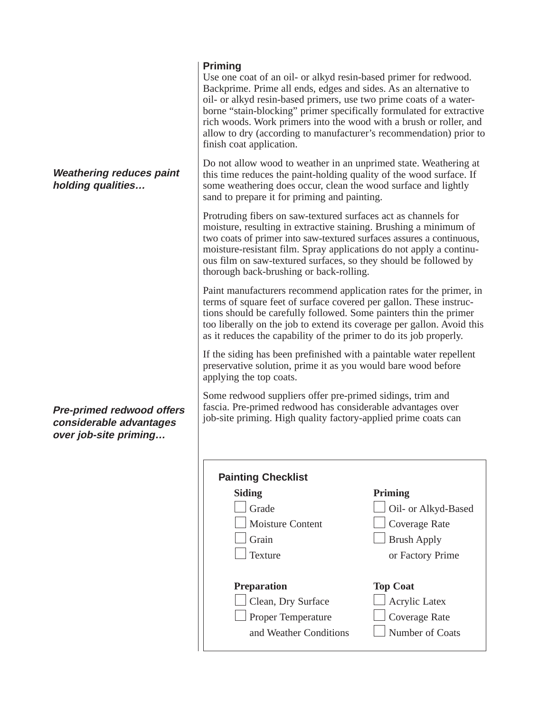## **Priming**

Use one coat of an oil- or alkyd resin-based primer for redwood. Backprime. Prime all ends, edges and sides. As an alternative to oil- or alkyd resin-based primers, use two prime coats of a waterborne "stain-blocking" primer specifically formulated for extractive rich woods. Work primers into the wood with a brush or roller, and allow to dry (according to manufacturer's recommendation) prior to finish coat application.

Do not allow wood to weather in an unprimed state. Weathering at this time reduces the paint-holding quality of the wood surface. If some weathering does occur, clean the wood surface and lightly sand to prepare it for priming and painting.

Protruding fibers on saw-textured surfaces act as channels for moisture, resulting in extractive staining. Brushing a minimum of two coats of primer into saw-textured surfaces assures a continuous, moisture-resistant film. Spray applications do not apply a continuous film on saw-textured surfaces, so they should be followed by thorough back-brushing or back-rolling.

Paint manufacturers recommend application rates for the primer, in terms of square feet of surface covered per gallon. These instructions should be carefully followed. Some painters thin the primer too liberally on the job to extend its coverage per gallon. Avoid this as it reduces the capability of the primer to do its job properly.

If the siding has been prefinished with a paintable water repellent preservative solution, prime it as you would bare wood before applying the top coats.

Some redwood suppliers offer pre-primed sidings, trim and fascia. Pre-primed redwood has considerable advantages over job-site priming. High quality factory-applied prime coats can

| <b>Painting Checklist</b> |                      |
|---------------------------|----------------------|
| Siding                    | <b>Priming</b>       |
| Grade                     | Oil- or Alkyd-Based  |
| Moisture Content          | Coverage Rate        |
| Grain                     | <b>Brush Apply</b>   |
| Texture                   | or Factory Prime     |
| <b>Preparation</b>        | <b>Top Coat</b>      |
| Clean, Dry Surface        | <b>Acrylic Latex</b> |
| <b>Proper Temperature</b> | Coverage Rate        |
| and Weather Conditions    | Number of Coats      |

**Weathering reduces paint holding qualities…**

**Pre-primed redwood offers considerable advantages over job-site priming…**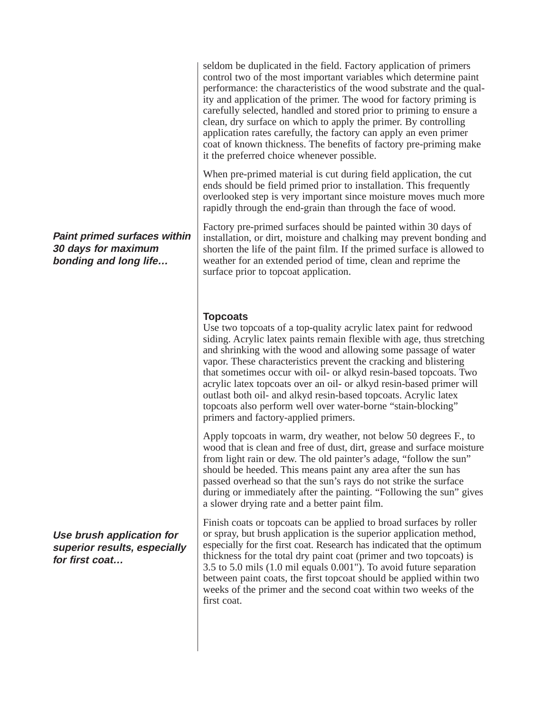seldom be duplicated in the field. Factory application of primers control two of the most important variables which determine paint performance: the characteristics of the wood substrate and the quality and application of the primer. The wood for factory priming is carefully selected, handled and stored prior to priming to ensure a clean, dry surface on which to apply the primer. By controlling application rates carefully, the factory can apply an even primer coat of known thickness. The benefits of factory pre-priming make it the preferred choice whenever possible.

When pre-primed material is cut during field application, the cut ends should be field primed prior to installation. This frequently overlooked step is very important since moisture moves much more rapidly through the end-grain than through the face of wood.

Factory pre-primed surfaces should be painted within 30 days of installation, or dirt, moisture and chalking may prevent bonding and shorten the life of the paint film. If the primed surface is allowed to weather for an extended period of time, clean and reprime the surface prior to topcoat application.

### **Topcoats**

Use two topcoats of a top-quality acrylic latex paint for redwood siding. Acrylic latex paints remain flexible with age, thus stretching and shrinking with the wood and allowing some passage of water vapor. These characteristics prevent the cracking and blistering that sometimes occur with oil- or alkyd resin-based topcoats. Two acrylic latex topcoats over an oil- or alkyd resin-based primer will outlast both oil- and alkyd resin-based topcoats. Acrylic latex topcoats also perform well over water-borne "stain-blocking" primers and factory-applied primers.

Apply topcoats in warm, dry weather, not below 50 degrees F., to wood that is clean and free of dust, dirt, grease and surface moisture from light rain or dew. The old painter's adage, "follow the sun" should be heeded. This means paint any area after the sun has passed overhead so that the sun's rays do not strike the surface during or immediately after the painting. "Following the sun" gives a slower drying rate and a better paint film.

Finish coats or topcoats can be applied to broad surfaces by roller or spray, but brush application is the superior application method, especially for the first coat. Research has indicated that the optimum thickness for the total dry paint coat (primer and two topcoats) is 3.5 to 5.0 mils (1.0 mil equals 0.001"). To avoid future separation between paint coats, the first topcoat should be applied within two weeks of the primer and the second coat within two weeks of the first coat.

**Paint primed surfaces within 30 days for maximum bonding and long life…**

**Use brush application for superior results, especially for first coat…**